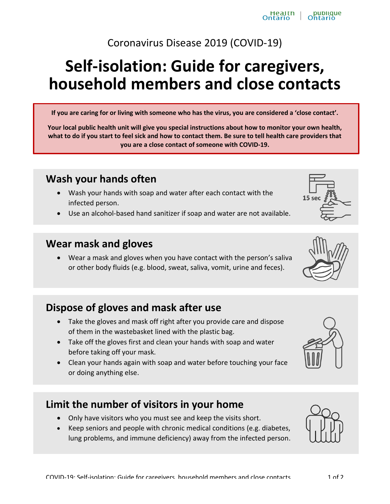#### Coronavirus Disease 2019 (COVID-19)

# **Self-isolation: Guide for caregivers, household members and close contacts**

**If you are caring for or living with someone who has the virus, you are considered a 'close contact'.**

**Your local public health unit will give you special instructions about how to monitor your own health, what to do if you start to feel sick and how to contact them. Be sure to tell health care providers that you are a close contact of someone with COVID-19.**

#### **Wash your hands often**

- Wash your hands with soap and water after each contact with the infected person.
- Use an alcohol-based hand sanitizer if soap and water are not available.

#### **Wear mask and gloves**

• Wear a mask and gloves when you have contact with the person's saliva or other body fluids (e.g. blood, sweat, saliva, vomit, urine and feces).

## **Dispose of gloves and mask after use**

- Take the gloves and mask off right after you provide care and dispose of them in the wastebasket lined with the plastic bag.
- $\bullet$  Take off the gloves first and clean your hands with soap and water before taking off your mask.
- Clean your hands again with soap and water before touching your face or doing anything else.

#### **Limit the number of visitors in your home**

- Only have visitors who you must see and keep the visits short.
- x Keep seniors and people with chronic medical conditions (e.g. diabetes, lung problems, and immune deficiency) away from the infected person.